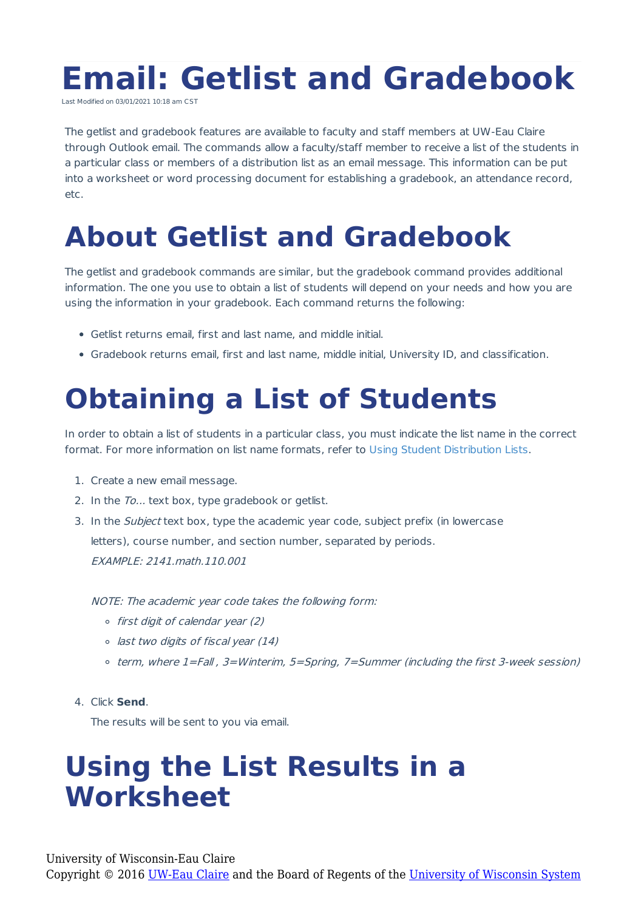# **Email: Getlist and Gradebook**

Last Modified on 03/01/2021 10:18 am CST

The getlist and gradebook features are available to faculty and staff members at UW-Eau Claire through Outlook email. The commands allow a faculty/staff member to receive a list of the students in a particular class or members of a distribution list as an email message. This information can be put into a worksheet or word processing document for establishing a gradebook, an attendance record, etc.

## **About Getlist and Gradebook**

The getlist and gradebook commands are similar, but the gradebook command provides additional information. The one you use to obtain a list of students will depend on your needs and how you are using the information in your gradebook. Each command returns the following:

- Getlist returns email, first and last name, and middle initial.
- Gradebook returns email, first and last name, middle initial, University ID, and classification.

# **Obtaining a List of Students**

In order to obtain a list of students in a particular class, you must indicate the list name in the correct format. For more information on list name formats, refer to Using Student Distribution Lists.

- 1. Create a new email message.
- 2. In the To... text box, type gradebook or getlist.
- 3. In the Subject text box, type the academic year code, subject prefix (in lowercase letters), course number, and section number, separated by periods. EXAMPLE: 2141.math.110.001

NOTE: The academic year code takes the following form:

- $\circ$  first digit of calendar year (2)
- last two digits of fiscal year (14)
- term, where 1=Fall , 3=Winterim, 5=Spring, 7=Summer (including the first 3-week session)

#### 4. Click **Send**.

The results will be sent to you via email.

### **Using the List Results in a Worksheet**